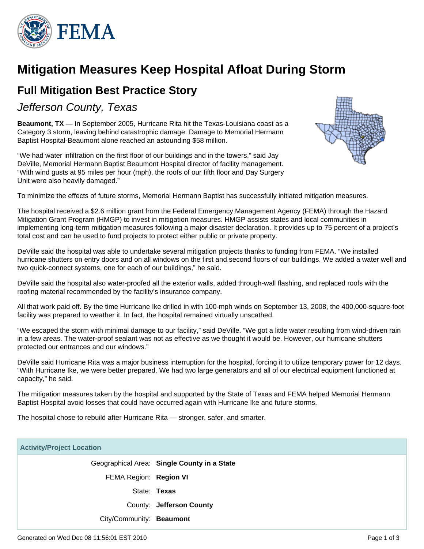

# **Mitigation Measures Keep Hospital Afloat During Storm**

## **Full Mitigation Best Practice Story**

Jefferson County, Texas

**Beaumont, TX** — In September 2005, Hurricane Rita hit the Texas-Louisiana coast as a Category 3 storm, leaving behind catastrophic damage. Damage to Memorial Hermann Baptist Hospital-Beaumont alone reached an astounding \$58 million.

"We had water infiltration on the first floor of our buildings and in the towers," said Jay DeVille, Memorial Hermann Baptist Beaumont Hospital director of facility management. "With wind gusts at 95 miles per hour (mph), the roofs of our fifth floor and Day Surgery Unit were also heavily damaged."



To minimize the effects of future storms, Memorial Hermann Baptist has successfully initiated mitigation measures.

The hospital received a \$2.6 million grant from the Federal Emergency Management Agency (FEMA) through the Hazard Mitigation Grant Program (HMGP) to invest in mitigation measures. HMGP assists states and local communities in implementing long-term mitigation measures following a major disaster declaration. It provides up to 75 percent of a project's total cost and can be used to fund projects to protect either public or private property.

DeVille said the hospital was able to undertake several mitigation projects thanks to funding from FEMA. "We installed hurricane shutters on entry doors and on all windows on the first and second floors of our buildings. We added a water well and two quick-connect systems, one for each of our buildings," he said.

DeVille said the hospital also water-proofed all the exterior walls, added through-wall flashing, and replaced roofs with the roofing material recommended by the facility's insurance company.

All that work paid off. By the time Hurricane Ike drilled in with 100-mph winds on September 13, 2008, the 400,000-square-foot facility was prepared to weather it. In fact, the hospital remained virtually unscathed.

"We escaped the storm with minimal damage to our facility," said DeVille. "We got a little water resulting from wind-driven rain in a few areas. The water-proof sealant was not as effective as we thought it would be. However, our hurricane shutters protected our entrances and our windows."

DeVille said Hurricane Rita was a major business interruption for the hospital, forcing it to utilize temporary power for 12 days. "With Hurricane Ike, we were better prepared. We had two large generators and all of our electrical equipment functioned at capacity," he said.

The mitigation measures taken by the hospital and supported by the State of Texas and FEMA helped Memorial Hermann Baptist Hospital avoid losses that could have occurred again with Hurricane Ike and future storms.

The hospital chose to rebuild after Hurricane Rita — stronger, safer, and smarter.

# **Activity/Project Location** Geographical Area: **Single County in a State** FEMA Region: **Region VI** State: **Texas** County: **Jefferson County** City/Community: **Beaumont**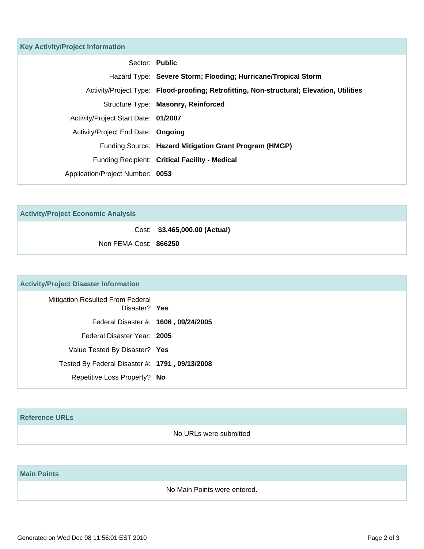| <b>Key Activity/Project Information</b> |                                                                                           |
|-----------------------------------------|-------------------------------------------------------------------------------------------|
| Sector: Public                          |                                                                                           |
|                                         | Hazard Type: Severe Storm; Flooding; Hurricane/Tropical Storm                             |
|                                         | Activity/Project Type: Flood-proofing; Retrofitting, Non-structural; Elevation, Utilities |
|                                         | Structure Type: Masonry, Reinforced                                                       |
| Activity/Project Start Date: 01/2007    |                                                                                           |
| Activity/Project End Date: Ongoing      |                                                                                           |
|                                         | Funding Source: Hazard Mitigation Grant Program (HMGP)                                    |
|                                         | Funding Recipient: Critical Facility - Medical                                            |
| Application/Project Number: 0053        |                                                                                           |

| <b>Activity/Project Economic Analysis</b> |                               |  |
|-------------------------------------------|-------------------------------|--|
|                                           | Cost: \$3,465,000.00 (Actual) |  |
| Non FEMA Cost: 866250                     |                               |  |

### **Activity/Project Disaster Information**

| <b>Mitigation Resulted From Federal</b><br>Disaster? Yes |  |
|----------------------------------------------------------|--|
| Federal Disaster #: 1606, 09/24/2005                     |  |
| Federal Disaster Year: 2005                              |  |
| Value Tested By Disaster? Yes                            |  |
| Tested By Federal Disaster #: 1791, 09/13/2008           |  |
| Repetitive Loss Property? No                             |  |

#### **Reference URLs**

No URLs were submitted

### **Main Points**

No Main Points were entered.